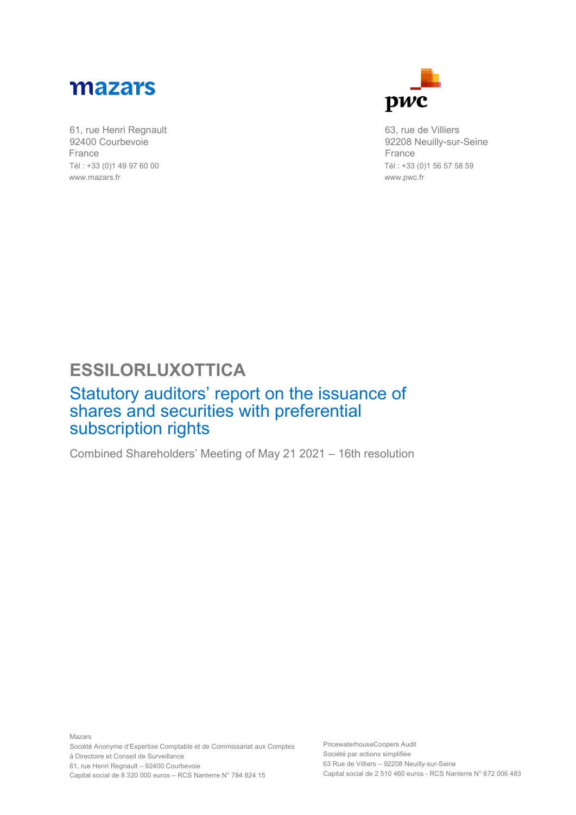

61, rue Henri Regnault 92400 Courbevoie France Tél : +33 (0)1 49 97 60 00 www.mazars.fr



63, rue de Villiers 92208 Neuilly-sur-Seine France Tél : +33 (0)1 56 57 58 59 www.pwc.fr

## **ESSILORLUXOTTICA**

## Statutory auditors' report on the issuance of shares and securities with preferential subscription rights

Combined Shareholders' Meeting of May 21 2021 – 16th resolution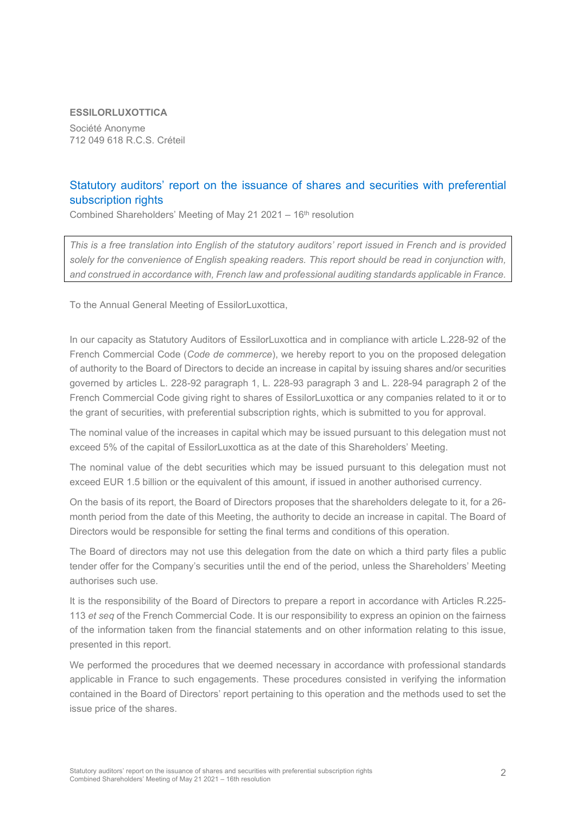## **ESSILORLUXOTTICA**

Société Anonyme 712 049 618 R.C.S. Créteil

## Statutory auditors' report on the issuance of shares and securities with preferential subscription rights

Combined Shareholders' Meeting of May 21 2021 – 16th resolution

*This is a free translation into English of the statutory auditors' report issued in French and is provided solely for the convenience of English speaking readers. This report should be read in conjunction with, and construed in accordance with, French law and professional auditing standards applicable in France.*

To the Annual General Meeting of EssilorLuxottica,

In our capacity as Statutory Auditors of EssilorLuxottica and in compliance with article L.228-92 of the French Commercial Code (*Code de commerce*), we hereby report to you on the proposed delegation of authority to the Board of Directors to decide an increase in capital by issuing shares and/or securities governed by articles L. 228-92 paragraph 1, L. 228-93 paragraph 3 and L. 228-94 paragraph 2 of the French Commercial Code giving right to shares of EssilorLuxottica or any companies related to it or to the grant of securities, with preferential subscription rights, which is submitted to you for approval.

The nominal value of the increases in capital which may be issued pursuant to this delegation must not exceed 5% of the capital of EssilorLuxottica as at the date of this Shareholders' Meeting.

The nominal value of the debt securities which may be issued pursuant to this delegation must not exceed EUR 1.5 billion or the equivalent of this amount, if issued in another authorised currency.

On the basis of its report, the Board of Directors proposes that the shareholders delegate to it, for a 26 month period from the date of this Meeting, the authority to decide an increase in capital. The Board of Directors would be responsible for setting the final terms and conditions of this operation.

The Board of directors may not use this delegation from the date on which a third party files a public tender offer for the Company's securities until the end of the period, unless the Shareholders' Meeting authorises such use.

It is the responsibility of the Board of Directors to prepare a report in accordance with Articles R.225- 113 *et seq* of the French Commercial Code. It is our responsibility to express an opinion on the fairness of the information taken from the financial statements and on other information relating to this issue, presented in this report.

We performed the procedures that we deemed necessary in accordance with professional standards applicable in France to such engagements. These procedures consisted in verifying the information contained in the Board of Directors' report pertaining to this operation and the methods used to set the issue price of the shares.